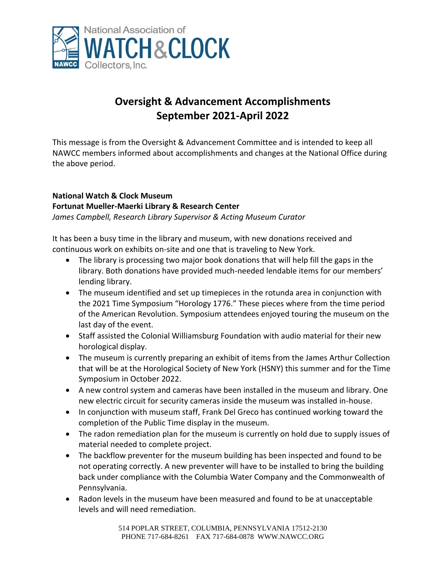

# **Oversight & Advancement Accomplishments September 2021-April 2022**

This message is from the Oversight & Advancement Committee and is intended to keep all NAWCC members informed about accomplishments and changes at the National Office during the above period.

# **National Watch & Clock Museum Fortunat Mueller-Maerki Library & Research Center**

*James Campbell, Research Library Supervisor & Acting Museum Curator*

It has been a busy time in the library and museum, with new donations received and continuous work on exhibits on-site and one that is traveling to New York.

- The library is processing two major book donations that will help fill the gaps in the library. Both donations have provided much-needed lendable items for our members' lending library.
- The museum identified and set up timepieces in the rotunda area in conjunction with the 2021 Time Symposium "Horology 1776." These pieces where from the time period of the American Revolution. Symposium attendees enjoyed touring the museum on the last day of the event.
- Staff assisted the Colonial Williamsburg Foundation with audio material for their new horological display.
- The museum is currently preparing an exhibit of items from the James Arthur Collection that will be at the Horological Society of New York (HSNY) this summer and for the Time Symposium in October 2022.
- A new control system and cameras have been installed in the museum and library. One new electric circuit for security cameras inside the museum was installed in-house.
- In conjunction with museum staff, Frank Del Greco has continued working toward the completion of the Public Time display in the museum.
- The radon remediation plan for the museum is currently on hold due to supply issues of material needed to complete project.
- The backflow preventer for the museum building has been inspected and found to be not operating correctly. A new preventer will have to be installed to bring the building back under compliance with the Columbia Water Company and the Commonwealth of Pennsylvania.
- Radon levels in the museum have been measured and found to be at unacceptable levels and will need remediation.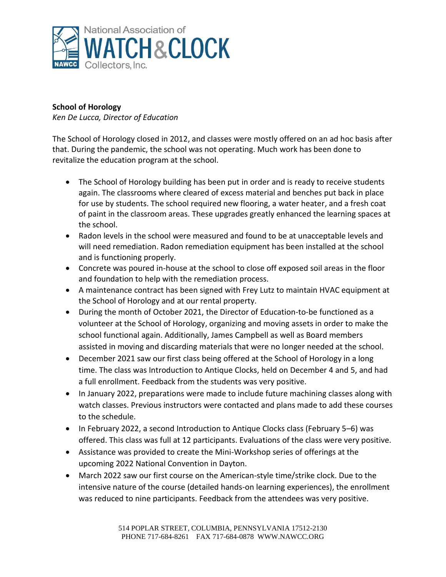

# **School of Horology**

*Ken De Lucca, Director of Education*

The School of Horology closed in 2012, and classes were mostly offered on an ad hoc basis after that. During the pandemic, the school was not operating. Much work has been done to revitalize the education program at the school.

- The School of Horology building has been put in order and is ready to receive students again. The classrooms where cleared of excess material and benches put back in place for use by students. The school required new flooring, a water heater, and a fresh coat of paint in the classroom areas. These upgrades greatly enhanced the learning spaces at the school.
- Radon levels in the school were measured and found to be at unacceptable levels and will need remediation. Radon remediation equipment has been installed at the school and is functioning properly.
- Concrete was poured in-house at the school to close off exposed soil areas in the floor and foundation to help with the remediation process.
- A maintenance contract has been signed with Frey Lutz to maintain HVAC equipment at the School of Horology and at our rental property.
- During the month of October 2021, the Director of Education-to-be functioned as a volunteer at the School of Horology, organizing and moving assets in order to make the school functional again. Additionally, James Campbell as well as Board members assisted in moving and discarding materials that were no longer needed at the school.
- December 2021 saw our first class being offered at the School of Horology in a long time. The class was Introduction to Antique Clocks, held on December 4 and 5, and had a full enrollment. Feedback from the students was very positive.
- In January 2022, preparations were made to include future machining classes along with watch classes. Previous instructors were contacted and plans made to add these courses to the schedule.
- In February 2022, a second Introduction to Antique Clocks class (February 5–6) was offered. This class was full at 12 participants. Evaluations of the class were very positive.
- Assistance was provided to create the Mini-Workshop series of offerings at the upcoming 2022 National Convention in Dayton.
- March 2022 saw our first course on the American-style time/strike clock. Due to the intensive nature of the course (detailed hands-on learning experiences), the enrollment was reduced to nine participants. Feedback from the attendees was very positive.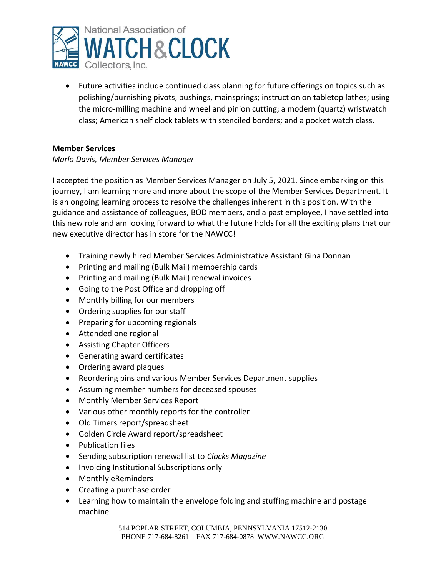

• Future activities include continued class planning for future offerings on topics such as polishing/burnishing pivots, bushings, mainsprings; instruction on tabletop lathes; using the micro-milling machine and wheel and pinion cutting; a modern (quartz) wristwatch class; American shelf clock tablets with stenciled borders; and a pocket watch class.

# **Member Services**

#### *Marlo Davis, Member Services Manager*

I accepted the position as Member Services Manager on July 5, 2021. Since embarking on this journey, I am learning more and more about the scope of the Member Services Department. It is an ongoing learning process to resolve the challenges inherent in this position. With the guidance and assistance of colleagues, BOD members, and a past employee, I have settled into this new role and am looking forward to what the future holds for all the exciting plans that our new executive director has in store for the NAWCC!

- Training newly hired Member Services Administrative Assistant Gina Donnan
- Printing and mailing (Bulk Mail) membership cards
- Printing and mailing (Bulk Mail) renewal invoices
- Going to the Post Office and dropping off
- Monthly billing for our members
- Ordering supplies for our staff
- Preparing for upcoming regionals
- Attended one regional
- Assisting Chapter Officers
- Generating award certificates
- Ordering award plaques
- Reordering pins and various Member Services Department supplies
- Assuming member numbers for deceased spouses
- Monthly Member Services Report
- Various other monthly reports for the controller
- Old Timers report/spreadsheet
- Golden Circle Award report/spreadsheet
- Publication files
- Sending subscription renewal list to *Clocks Magazine*
- Invoicing Institutional Subscriptions only
- Monthly eReminders
- Creating a purchase order
- Learning how to maintain the envelope folding and stuffing machine and postage machine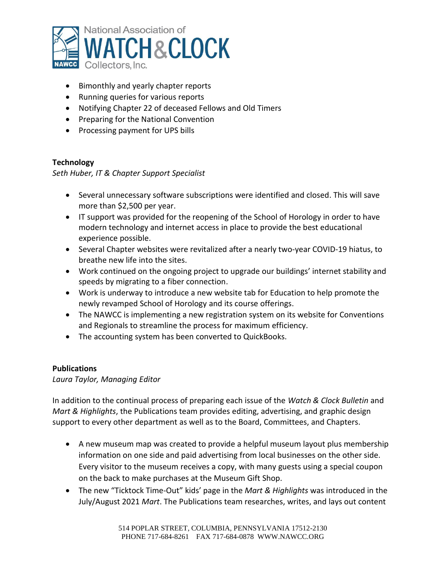

- Bimonthly and yearly chapter reports
- Running queries for various reports
- Notifying Chapter 22 of deceased Fellows and Old Timers
- Preparing for the National Convention
- Processing payment for UPS bills

# **Technology**

*Seth Huber, IT & Chapter Support Specialist*

- Several unnecessary software subscriptions were identified and closed. This will save more than \$2,500 per year.
- IT support was provided for the reopening of the School of Horology in order to have modern technology and internet access in place to provide the best educational experience possible.
- Several Chapter websites were revitalized after a nearly two-year COVID-19 hiatus, to breathe new life into the sites.
- Work continued on the ongoing project to upgrade our buildings' internet stability and speeds by migrating to a fiber connection.
- Work is underway to introduce a new website tab for Education to help promote the newly revamped School of Horology and its course offerings.
- The NAWCC is implementing a new registration system on its website for Conventions and Regionals to streamline the process for maximum efficiency.
- The accounting system has been converted to QuickBooks.

# **Publications**

*Laura Taylor, Managing Editor*

In addition to the continual process of preparing each issue of the *Watch & Clock Bulletin* and *Mart & Highlights*, the Publications team provides editing, advertising, and graphic design support to every other department as well as to the Board, Committees, and Chapters.

- A new museum map was created to provide a helpful museum layout plus membership information on one side and paid advertising from local businesses on the other side. Every visitor to the museum receives a copy, with many guests using a special coupon on the back to make purchases at the Museum Gift Shop.
- The new "Ticktock Time-Out" kids' page in the *Mart & Highlights* was introduced in the July/August 2021 *Mart*. The Publications team researches, writes, and lays out content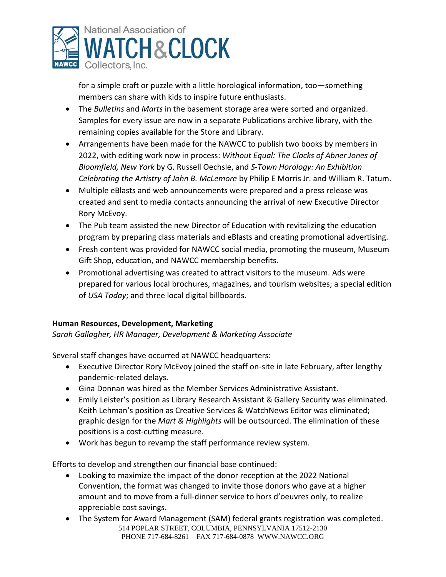

for a simple craft or puzzle with a little horological information, too—something members can share with kids to inspire future enthusiasts.

- The *Bulletins* and *Marts* in the basement storage area were sorted and organized. Samples for every issue are now in a separate Publications archive library, with the remaining copies available for the Store and Library.
- Arrangements have been made for the NAWCC to publish two books by members in 2022, with editing work now in process: *Without Equal: The Clocks of Abner Jones of Bloomfield, New York* by G. Russell Oechsle, and *S-Town Horology: An Exhibition Celebrating the Artistry of John B. McLemore* by Philip E Morris Jr. and William R. Tatum.
- Multiple eBlasts and web announcements were prepared and a press release was created and sent to media contacts announcing the arrival of new Executive Director Rory McEvoy.
- The Pub team assisted the new Director of Education with revitalizing the education program by preparing class materials and eBlasts and creating promotional advertising.
- Fresh content was provided for NAWCC social media, promoting the museum, Museum Gift Shop, education, and NAWCC membership benefits.
- Promotional advertising was created to attract visitors to the museum. Ads were prepared for various local brochures, magazines, and tourism websites; a special edition of *USA Today*; and three local digital billboards.

# **Human Resources, Development, Marketing**

*Sarah Gallagher, HR Manager, Development & Marketing Associate*

Several staff changes have occurred at NAWCC headquarters:

- Executive Director Rory McEvoy joined the staff on-site in late February, after lengthy pandemic-related delays.
- Gina Donnan was hired as the Member Services Administrative Assistant.
- Emily Leister's position as Library Research Assistant & Gallery Security was eliminated. Keith Lehman's position as Creative Services & WatchNews Editor was eliminated; graphic design for the *Mart & Highlights* will be outsourced. The elimination of these positions is a cost-cutting measure.
- Work has begun to revamp the staff performance review system.

Efforts to develop and strengthen our financial base continued:

- Looking to maximize the impact of the donor reception at the 2022 National Convention, the format was changed to invite those donors who gave at a higher amount and to move from a full-dinner service to hors d'oeuvres only, to realize appreciable cost savings.
- 514 POPLAR STREET, COLUMBIA, PENNSYLVANIA 17512-2130 PHONE 717-684-8261 FAX 717-684-0878 WWW.NAWCC.ORG • The System for Award Management (SAM) federal grants registration was completed.